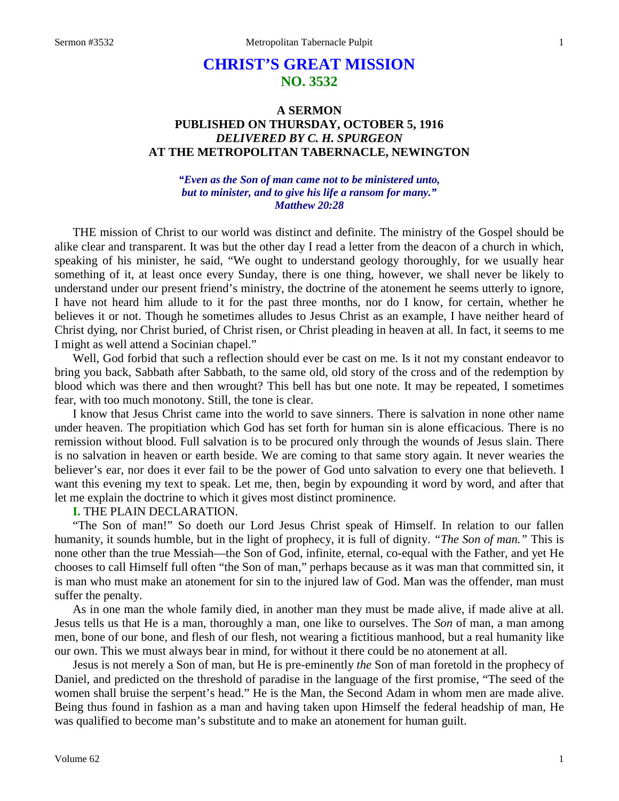# **CHRIST'S GREAT MISSION NO. 3532**

## **A SERMON PUBLISHED ON THURSDAY, OCTOBER 5, 1916** *DELIVERED BY C. H. SPURGEON* **AT THE METROPOLITAN TABERNACLE, NEWINGTON**

#### *"Even as the Son of man came not to be ministered unto, but to minister, and to give his life a ransom for many." Matthew 20:28*

THE mission of Christ to our world was distinct and definite. The ministry of the Gospel should be alike clear and transparent. It was but the other day I read a letter from the deacon of a church in which, speaking of his minister, he said, "We ought to understand geology thoroughly, for we usually hear something of it, at least once every Sunday, there is one thing, however, we shall never be likely to understand under our present friend's ministry, the doctrine of the atonement he seems utterly to ignore, I have not heard him allude to it for the past three months, nor do I know, for certain, whether he believes it or not. Though he sometimes alludes to Jesus Christ as an example, I have neither heard of Christ dying, nor Christ buried, of Christ risen, or Christ pleading in heaven at all. In fact, it seems to me I might as well attend a Socinian chapel."

Well, God forbid that such a reflection should ever be cast on me. Is it not my constant endeavor to bring you back, Sabbath after Sabbath, to the same old, old story of the cross and of the redemption by blood which was there and then wrought? This bell has but one note. It may be repeated, I sometimes fear, with too much monotony. Still, the tone is clear.

I know that Jesus Christ came into the world to save sinners. There is salvation in none other name under heaven. The propitiation which God has set forth for human sin is alone efficacious. There is no remission without blood. Full salvation is to be procured only through the wounds of Jesus slain. There is no salvation in heaven or earth beside. We are coming to that same story again. It never wearies the believer's ear, nor does it ever fail to be the power of God unto salvation to every one that believeth. I want this evening my text to speak. Let me, then, begin by expounding it word by word, and after that let me explain the doctrine to which it gives most distinct prominence.

#### **I.** THE PLAIN DECLARATION.

"The Son of man!" So doeth our Lord Jesus Christ speak of Himself. In relation to our fallen humanity, it sounds humble, but in the light of prophecy, it is full of dignity. *"The Son of man."* This is none other than the true Messiah—the Son of God, infinite, eternal, co-equal with the Father, and yet He chooses to call Himself full often "the Son of man," perhaps because as it was man that committed sin, it is man who must make an atonement for sin to the injured law of God. Man was the offender, man must suffer the penalty.

As in one man the whole family died, in another man they must be made alive, if made alive at all. Jesus tells us that He is a man, thoroughly a man, one like to ourselves. The *Son* of man, a man among men, bone of our bone, and flesh of our flesh, not wearing a fictitious manhood, but a real humanity like our own. This we must always bear in mind, for without it there could be no atonement at all.

Jesus is not merely a Son of man, but He is pre-eminently *the* Son of man foretold in the prophecy of Daniel, and predicted on the threshold of paradise in the language of the first promise, "The seed of the women shall bruise the serpent's head." He is the Man, the Second Adam in whom men are made alive. Being thus found in fashion as a man and having taken upon Himself the federal headship of man, He was qualified to become man's substitute and to make an atonement for human guilt.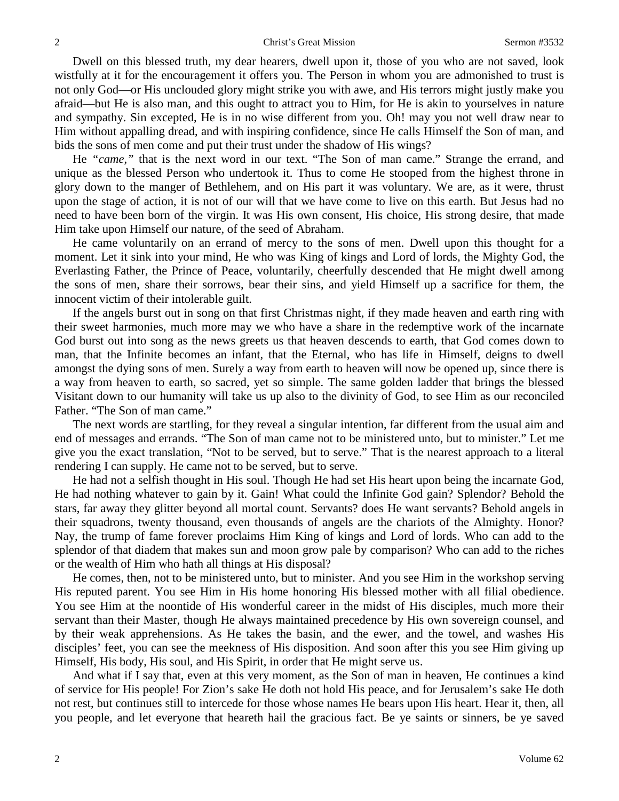Dwell on this blessed truth, my dear hearers, dwell upon it, those of you who are not saved, look wistfully at it for the encouragement it offers you. The Person in whom you are admonished to trust is not only God—or His unclouded glory might strike you with awe, and His terrors might justly make you afraid—but He is also man, and this ought to attract you to Him, for He is akin to yourselves in nature and sympathy. Sin excepted, He is in no wise different from you. Oh! may you not well draw near to Him without appalling dread, and with inspiring confidence, since He calls Himself the Son of man, and bids the sons of men come and put their trust under the shadow of His wings?

He *"came,"* that is the next word in our text. "The Son of man came." Strange the errand, and unique as the blessed Person who undertook it. Thus to come He stooped from the highest throne in glory down to the manger of Bethlehem, and on His part it was voluntary. We are, as it were, thrust upon the stage of action, it is not of our will that we have come to live on this earth. But Jesus had no need to have been born of the virgin. It was His own consent, His choice, His strong desire, that made Him take upon Himself our nature, of the seed of Abraham.

He came voluntarily on an errand of mercy to the sons of men. Dwell upon this thought for a moment. Let it sink into your mind, He who was King of kings and Lord of lords, the Mighty God, the Everlasting Father, the Prince of Peace, voluntarily, cheerfully descended that He might dwell among the sons of men, share their sorrows, bear their sins, and yield Himself up a sacrifice for them, the innocent victim of their intolerable guilt.

If the angels burst out in song on that first Christmas night, if they made heaven and earth ring with their sweet harmonies, much more may we who have a share in the redemptive work of the incarnate God burst out into song as the news greets us that heaven descends to earth, that God comes down to man, that the Infinite becomes an infant, that the Eternal, who has life in Himself, deigns to dwell amongst the dying sons of men. Surely a way from earth to heaven will now be opened up, since there is a way from heaven to earth, so sacred, yet so simple. The same golden ladder that brings the blessed Visitant down to our humanity will take us up also to the divinity of God, to see Him as our reconciled Father. "The Son of man came."

The next words are startling, for they reveal a singular intention, far different from the usual aim and end of messages and errands. "The Son of man came not to be ministered unto, but to minister." Let me give you the exact translation, "Not to be served, but to serve." That is the nearest approach to a literal rendering I can supply. He came not to be served, but to serve.

He had not a selfish thought in His soul. Though He had set His heart upon being the incarnate God, He had nothing whatever to gain by it. Gain! What could the Infinite God gain? Splendor? Behold the stars, far away they glitter beyond all mortal count. Servants? does He want servants? Behold angels in their squadrons, twenty thousand, even thousands of angels are the chariots of the Almighty. Honor? Nay, the trump of fame forever proclaims Him King of kings and Lord of lords. Who can add to the splendor of that diadem that makes sun and moon grow pale by comparison? Who can add to the riches or the wealth of Him who hath all things at His disposal?

He comes, then, not to be ministered unto, but to minister. And you see Him in the workshop serving His reputed parent. You see Him in His home honoring His blessed mother with all filial obedience. You see Him at the noontide of His wonderful career in the midst of His disciples, much more their servant than their Master, though He always maintained precedence by His own sovereign counsel, and by their weak apprehensions. As He takes the basin, and the ewer, and the towel, and washes His disciples' feet, you can see the meekness of His disposition. And soon after this you see Him giving up Himself, His body, His soul, and His Spirit, in order that He might serve us.

And what if I say that, even at this very moment, as the Son of man in heaven, He continues a kind of service for His people! For Zion's sake He doth not hold His peace, and for Jerusalem's sake He doth not rest, but continues still to intercede for those whose names He bears upon His heart. Hear it, then, all you people, and let everyone that heareth hail the gracious fact. Be ye saints or sinners, be ye saved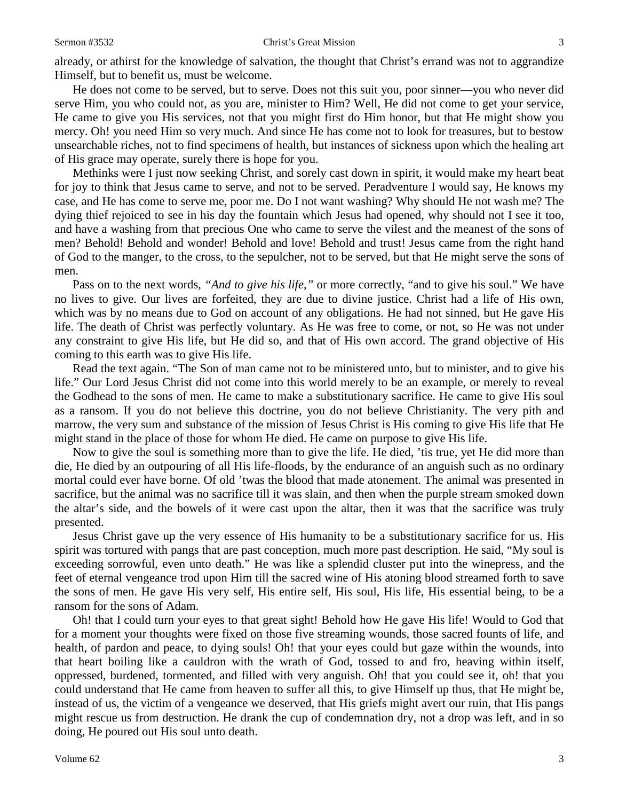already, or athirst for the knowledge of salvation, the thought that Christ's errand was not to aggrandize Himself, but to benefit us, must be welcome.

He does not come to be served, but to serve. Does not this suit you, poor sinner—you who never did serve Him, you who could not, as you are, minister to Him? Well, He did not come to get your service, He came to give you His services, not that you might first do Him honor, but that He might show you mercy. Oh! you need Him so very much. And since He has come not to look for treasures, but to bestow unsearchable riches, not to find specimens of health, but instances of sickness upon which the healing art of His grace may operate, surely there is hope for you.

Methinks were I just now seeking Christ, and sorely cast down in spirit, it would make my heart beat for joy to think that Jesus came to serve, and not to be served. Peradventure I would say, He knows my case, and He has come to serve me, poor me. Do I not want washing? Why should He not wash me? The dying thief rejoiced to see in his day the fountain which Jesus had opened, why should not I see it too, and have a washing from that precious One who came to serve the vilest and the meanest of the sons of men? Behold! Behold and wonder! Behold and love! Behold and trust! Jesus came from the right hand of God to the manger, to the cross, to the sepulcher, not to be served, but that He might serve the sons of men.

Pass on to the next words, *"And to give his life,"* or more correctly, "and to give his soul." We have no lives to give. Our lives are forfeited, they are due to divine justice. Christ had a life of His own, which was by no means due to God on account of any obligations. He had not sinned, but He gave His life. The death of Christ was perfectly voluntary. As He was free to come, or not, so He was not under any constraint to give His life, but He did so, and that of His own accord. The grand objective of His coming to this earth was to give His life.

Read the text again. "The Son of man came not to be ministered unto, but to minister, and to give his life." Our Lord Jesus Christ did not come into this world merely to be an example, or merely to reveal the Godhead to the sons of men. He came to make a substitutionary sacrifice. He came to give His soul as a ransom. If you do not believe this doctrine, you do not believe Christianity. The very pith and marrow, the very sum and substance of the mission of Jesus Christ is His coming to give His life that He might stand in the place of those for whom He died. He came on purpose to give His life.

Now to give the soul is something more than to give the life. He died, 'tis true, yet He did more than die, He died by an outpouring of all His life-floods, by the endurance of an anguish such as no ordinary mortal could ever have borne. Of old 'twas the blood that made atonement. The animal was presented in sacrifice, but the animal was no sacrifice till it was slain, and then when the purple stream smoked down the altar's side, and the bowels of it were cast upon the altar, then it was that the sacrifice was truly presented.

Jesus Christ gave up the very essence of His humanity to be a substitutionary sacrifice for us. His spirit was tortured with pangs that are past conception, much more past description. He said, "My soul is exceeding sorrowful, even unto death." He was like a splendid cluster put into the winepress, and the feet of eternal vengeance trod upon Him till the sacred wine of His atoning blood streamed forth to save the sons of men. He gave His very self, His entire self, His soul, His life, His essential being, to be a ransom for the sons of Adam.

Oh! that I could turn your eyes to that great sight! Behold how He gave His life! Would to God that for a moment your thoughts were fixed on those five streaming wounds, those sacred founts of life, and health, of pardon and peace, to dying souls! Oh! that your eyes could but gaze within the wounds, into that heart boiling like a cauldron with the wrath of God, tossed to and fro, heaving within itself, oppressed, burdened, tormented, and filled with very anguish. Oh! that you could see it, oh! that you could understand that He came from heaven to suffer all this, to give Himself up thus, that He might be, instead of us, the victim of a vengeance we deserved, that His griefs might avert our ruin, that His pangs might rescue us from destruction. He drank the cup of condemnation dry, not a drop was left, and in so doing, He poured out His soul unto death.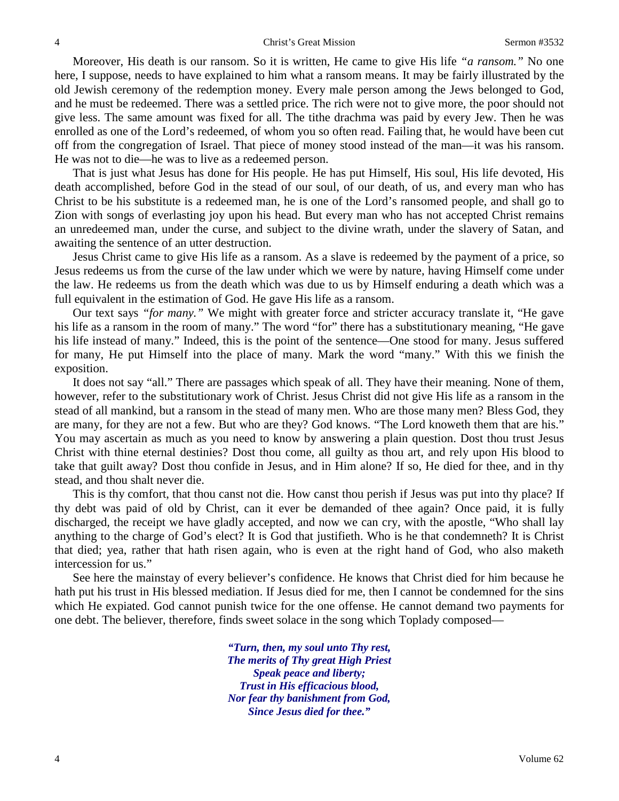Moreover, His death is our ransom. So it is written, He came to give His life *"a ransom."* No one here, I suppose, needs to have explained to him what a ransom means. It may be fairly illustrated by the old Jewish ceremony of the redemption money. Every male person among the Jews belonged to God, and he must be redeemed. There was a settled price. The rich were not to give more, the poor should not give less. The same amount was fixed for all. The tithe drachma was paid by every Jew. Then he was enrolled as one of the Lord's redeemed, of whom you so often read. Failing that, he would have been cut off from the congregation of Israel. That piece of money stood instead of the man—it was his ransom. He was not to die—he was to live as a redeemed person.

That is just what Jesus has done for His people. He has put Himself, His soul, His life devoted, His death accomplished, before God in the stead of our soul, of our death, of us, and every man who has Christ to be his substitute is a redeemed man, he is one of the Lord's ransomed people, and shall go to Zion with songs of everlasting joy upon his head. But every man who has not accepted Christ remains an unredeemed man, under the curse, and subject to the divine wrath, under the slavery of Satan, and awaiting the sentence of an utter destruction.

Jesus Christ came to give His life as a ransom. As a slave is redeemed by the payment of a price, so Jesus redeems us from the curse of the law under which we were by nature, having Himself come under the law. He redeems us from the death which was due to us by Himself enduring a death which was a full equivalent in the estimation of God. He gave His life as a ransom.

Our text says *"for many."* We might with greater force and stricter accuracy translate it, "He gave his life as a ransom in the room of many." The word "for" there has a substitutionary meaning, "He gave his life instead of many." Indeed, this is the point of the sentence—One stood for many. Jesus suffered for many, He put Himself into the place of many. Mark the word "many." With this we finish the exposition.

It does not say "all." There are passages which speak of all. They have their meaning. None of them, however, refer to the substitutionary work of Christ. Jesus Christ did not give His life as a ransom in the stead of all mankind, but a ransom in the stead of many men. Who are those many men? Bless God, they are many, for they are not a few. But who are they? God knows. "The Lord knoweth them that are his." You may ascertain as much as you need to know by answering a plain question. Dost thou trust Jesus Christ with thine eternal destinies? Dost thou come, all guilty as thou art, and rely upon His blood to take that guilt away? Dost thou confide in Jesus, and in Him alone? If so, He died for thee, and in thy stead, and thou shalt never die.

This is thy comfort, that thou canst not die. How canst thou perish if Jesus was put into thy place? If thy debt was paid of old by Christ, can it ever be demanded of thee again? Once paid, it is fully discharged, the receipt we have gladly accepted, and now we can cry, with the apostle, "Who shall lay anything to the charge of God's elect? It is God that justifieth. Who is he that condemneth? It is Christ that died; yea, rather that hath risen again, who is even at the right hand of God, who also maketh intercession for us."

See here the mainstay of every believer's confidence. He knows that Christ died for him because he hath put his trust in His blessed mediation. If Jesus died for me, then I cannot be condemned for the sins which He expiated. God cannot punish twice for the one offense. He cannot demand two payments for one debt. The believer, therefore, finds sweet solace in the song which Toplady composed—

> *"Turn, then, my soul unto Thy rest, The merits of Thy great High Priest Speak peace and liberty; Trust in His efficacious blood, Nor fear thy banishment from God, Since Jesus died for thee."*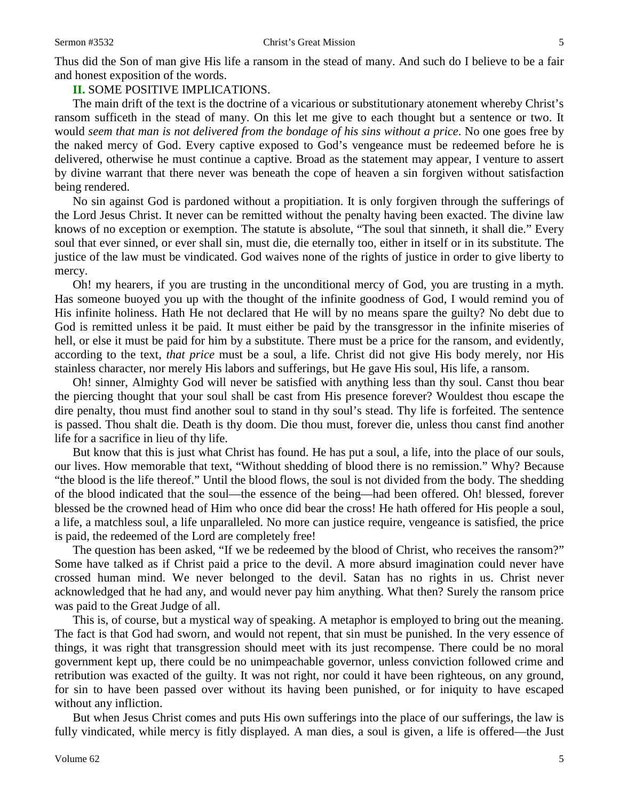Thus did the Son of man give His life a ransom in the stead of many. And such do I believe to be a fair and honest exposition of the words.

### **II.** SOME POSITIVE IMPLICATIONS.

The main drift of the text is the doctrine of a vicarious or substitutionary atonement whereby Christ's ransom sufficeth in the stead of many. On this let me give to each thought but a sentence or two. It would *seem that man is not delivered from the bondage of his sins without a price*. No one goes free by the naked mercy of God. Every captive exposed to God's vengeance must be redeemed before he is delivered, otherwise he must continue a captive. Broad as the statement may appear, I venture to assert by divine warrant that there never was beneath the cope of heaven a sin forgiven without satisfaction being rendered.

No sin against God is pardoned without a propitiation. It is only forgiven through the sufferings of the Lord Jesus Christ. It never can be remitted without the penalty having been exacted. The divine law knows of no exception or exemption. The statute is absolute, "The soul that sinneth, it shall die." Every soul that ever sinned, or ever shall sin, must die, die eternally too, either in itself or in its substitute. The justice of the law must be vindicated. God waives none of the rights of justice in order to give liberty to mercy.

Oh! my hearers, if you are trusting in the unconditional mercy of God, you are trusting in a myth. Has someone buoyed you up with the thought of the infinite goodness of God, I would remind you of His infinite holiness. Hath He not declared that He will by no means spare the guilty? No debt due to God is remitted unless it be paid. It must either be paid by the transgressor in the infinite miseries of hell, or else it must be paid for him by a substitute. There must be a price for the ransom, and evidently, according to the text, *that price* must be a soul, a life. Christ did not give His body merely, nor His stainless character, nor merely His labors and sufferings, but He gave His soul, His life, a ransom.

Oh! sinner, Almighty God will never be satisfied with anything less than thy soul. Canst thou bear the piercing thought that your soul shall be cast from His presence forever? Wouldest thou escape the dire penalty, thou must find another soul to stand in thy soul's stead. Thy life is forfeited. The sentence is passed. Thou shalt die. Death is thy doom. Die thou must, forever die, unless thou canst find another life for a sacrifice in lieu of thy life.

But know that this is just what Christ has found. He has put a soul, a life, into the place of our souls, our lives. How memorable that text, "Without shedding of blood there is no remission." Why? Because "the blood is the life thereof." Until the blood flows, the soul is not divided from the body. The shedding of the blood indicated that the soul—the essence of the being—had been offered. Oh! blessed, forever blessed be the crowned head of Him who once did bear the cross! He hath offered for His people a soul, a life, a matchless soul, a life unparalleled. No more can justice require, vengeance is satisfied, the price is paid, the redeemed of the Lord are completely free!

The question has been asked, "If we be redeemed by the blood of Christ, who receives the ransom?" Some have talked as if Christ paid a price to the devil. A more absurd imagination could never have crossed human mind. We never belonged to the devil. Satan has no rights in us. Christ never acknowledged that he had any, and would never pay him anything. What then? Surely the ransom price was paid to the Great Judge of all.

This is, of course, but a mystical way of speaking. A metaphor is employed to bring out the meaning. The fact is that God had sworn, and would not repent, that sin must be punished. In the very essence of things, it was right that transgression should meet with its just recompense. There could be no moral government kept up, there could be no unimpeachable governor, unless conviction followed crime and retribution was exacted of the guilty. It was not right, nor could it have been righteous, on any ground, for sin to have been passed over without its having been punished, or for iniquity to have escaped without any infliction.

But when Jesus Christ comes and puts His own sufferings into the place of our sufferings, the law is fully vindicated, while mercy is fitly displayed. A man dies, a soul is given, a life is offered—the Just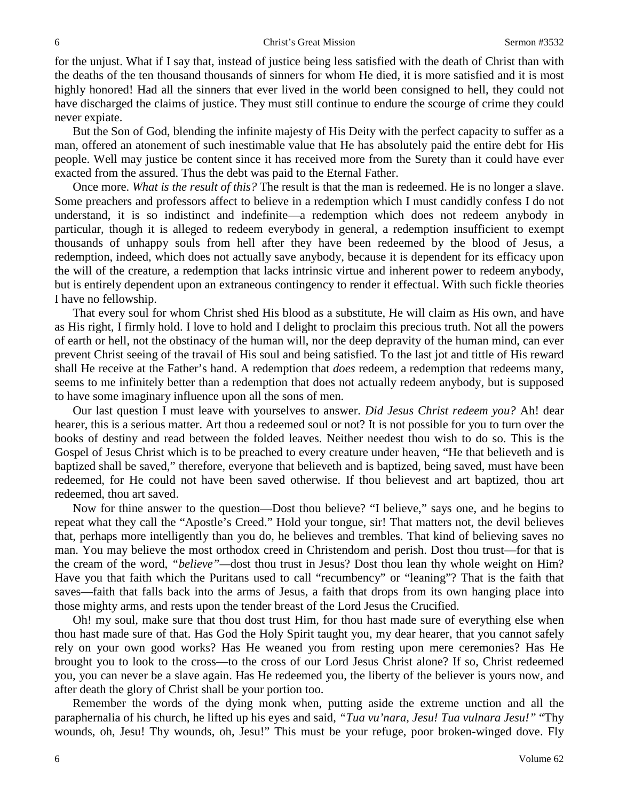for the unjust. What if I say that, instead of justice being less satisfied with the death of Christ than with the deaths of the ten thousand thousands of sinners for whom He died, it is more satisfied and it is most highly honored! Had all the sinners that ever lived in the world been consigned to hell, they could not have discharged the claims of justice. They must still continue to endure the scourge of crime they could never expiate.

But the Son of God, blending the infinite majesty of His Deity with the perfect capacity to suffer as a man, offered an atonement of such inestimable value that He has absolutely paid the entire debt for His people. Well may justice be content since it has received more from the Surety than it could have ever exacted from the assured. Thus the debt was paid to the Eternal Father.

Once more. *What is the result of this?* The result is that the man is redeemed. He is no longer a slave. Some preachers and professors affect to believe in a redemption which I must candidly confess I do not understand, it is so indistinct and indefinite—a redemption which does not redeem anybody in particular, though it is alleged to redeem everybody in general, a redemption insufficient to exempt thousands of unhappy souls from hell after they have been redeemed by the blood of Jesus, a redemption, indeed, which does not actually save anybody, because it is dependent for its efficacy upon the will of the creature, a redemption that lacks intrinsic virtue and inherent power to redeem anybody, but is entirely dependent upon an extraneous contingency to render it effectual. With such fickle theories I have no fellowship.

That every soul for whom Christ shed His blood as a substitute, He will claim as His own, and have as His right, I firmly hold. I love to hold and I delight to proclaim this precious truth. Not all the powers of earth or hell, not the obstinacy of the human will, nor the deep depravity of the human mind, can ever prevent Christ seeing of the travail of His soul and being satisfied. To the last jot and tittle of His reward shall He receive at the Father's hand. A redemption that *does* redeem, a redemption that redeems many, seems to me infinitely better than a redemption that does not actually redeem anybody, but is supposed to have some imaginary influence upon all the sons of men.

Our last question I must leave with yourselves to answer. *Did Jesus Christ redeem you?* Ah! dear hearer, this is a serious matter. Art thou a redeemed soul or not? It is not possible for you to turn over the books of destiny and read between the folded leaves. Neither needest thou wish to do so. This is the Gospel of Jesus Christ which is to be preached to every creature under heaven, "He that believeth and is baptized shall be saved," therefore, everyone that believeth and is baptized, being saved, must have been redeemed, for He could not have been saved otherwise. If thou believest and art baptized, thou art redeemed, thou art saved.

Now for thine answer to the question—Dost thou believe? "I believe," says one, and he begins to repeat what they call the "Apostle's Creed." Hold your tongue, sir! That matters not, the devil believes that, perhaps more intelligently than you do, he believes and trembles. That kind of believing saves no man. You may believe the most orthodox creed in Christendom and perish. Dost thou trust—for that is the cream of the word, *"believe"—*dost thou trust in Jesus? Dost thou lean thy whole weight on Him? Have you that faith which the Puritans used to call "recumbency" or "leaning"? That is the faith that saves—faith that falls back into the arms of Jesus, a faith that drops from its own hanging place into those mighty arms, and rests upon the tender breast of the Lord Jesus the Crucified.

Oh! my soul, make sure that thou dost trust Him, for thou hast made sure of everything else when thou hast made sure of that. Has God the Holy Spirit taught you, my dear hearer, that you cannot safely rely on your own good works? Has He weaned you from resting upon mere ceremonies? Has He brought you to look to the cross—to the cross of our Lord Jesus Christ alone? If so, Christ redeemed you, you can never be a slave again. Has He redeemed you, the liberty of the believer is yours now, and after death the glory of Christ shall be your portion too.

Remember the words of the dying monk when, putting aside the extreme unction and all the paraphernalia of his church, he lifted up his eyes and said, *"Tua vu'nara, Jesu! Tua vulnara Jesu!"* "Thy wounds, oh, Jesu! Thy wounds, oh, Jesu!" This must be your refuge, poor broken-winged dove. Fly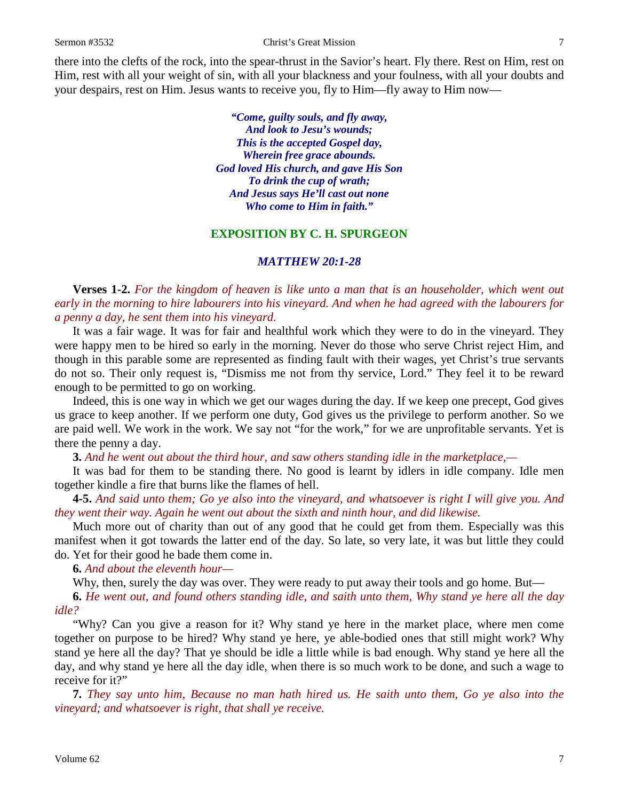there into the clefts of the rock, into the spear-thrust in the Savior's heart. Fly there. Rest on Him, rest on Him, rest with all your weight of sin, with all your blackness and your foulness, with all your doubts and your despairs, rest on Him. Jesus wants to receive you, fly to Him—fly away to Him now—

> *"Come, guilty souls, and fly away, And look to Jesu's wounds; This is the accepted Gospel day, Wherein free grace abounds. God loved His church, and gave His Son To drink the cup of wrath; And Jesus says He'll cast out none Who come to Him in faith."*

### **EXPOSITION BY C. H. SPURGEON**

#### *MATTHEW 20:1-28*

**Verses 1-2.** *For the kingdom of heaven is like unto a man that is an householder, which went out early in the morning to hire labourers into his vineyard. And when he had agreed with the labourers for a penny a day, he sent them into his vineyard.* 

It was a fair wage. It was for fair and healthful work which they were to do in the vineyard. They were happy men to be hired so early in the morning. Never do those who serve Christ reject Him, and though in this parable some are represented as finding fault with their wages, yet Christ's true servants do not so. Their only request is, "Dismiss me not from thy service, Lord." They feel it to be reward enough to be permitted to go on working.

Indeed, this is one way in which we get our wages during the day. If we keep one precept, God gives us grace to keep another. If we perform one duty, God gives us the privilege to perform another. So we are paid well. We work in the work. We say not "for the work," for we are unprofitable servants. Yet is there the penny a day.

**3.** *And he went out about the third hour, and saw others standing idle in the marketplace,—*

It was bad for them to be standing there. No good is learnt by idlers in idle company. Idle men together kindle a fire that burns like the flames of hell.

**4-5.** *And said unto them; Go ye also into the vineyard, and whatsoever is right I will give you. And they went their way. Again he went out about the sixth and ninth hour, and did likewise.* 

Much more out of charity than out of any good that he could get from them. Especially was this manifest when it got towards the latter end of the day. So late, so very late, it was but little they could do. Yet for their good he bade them come in.

**6.** *And about the eleventh hour—*

Why, then, surely the day was over. They were ready to put away their tools and go home. But—

**6.** *He went out, and found others standing idle, and saith unto them, Why stand ye here all the day idle?* 

"Why? Can you give a reason for it? Why stand ye here in the market place, where men come together on purpose to be hired? Why stand ye here, ye able-bodied ones that still might work? Why stand ye here all the day? That ye should be idle a little while is bad enough. Why stand ye here all the day, and why stand ye here all the day idle, when there is so much work to be done, and such a wage to receive for it?"

**7.** *They say unto him, Because no man hath hired us. He saith unto them, Go ye also into the vineyard; and whatsoever is right, that shall ye receive.*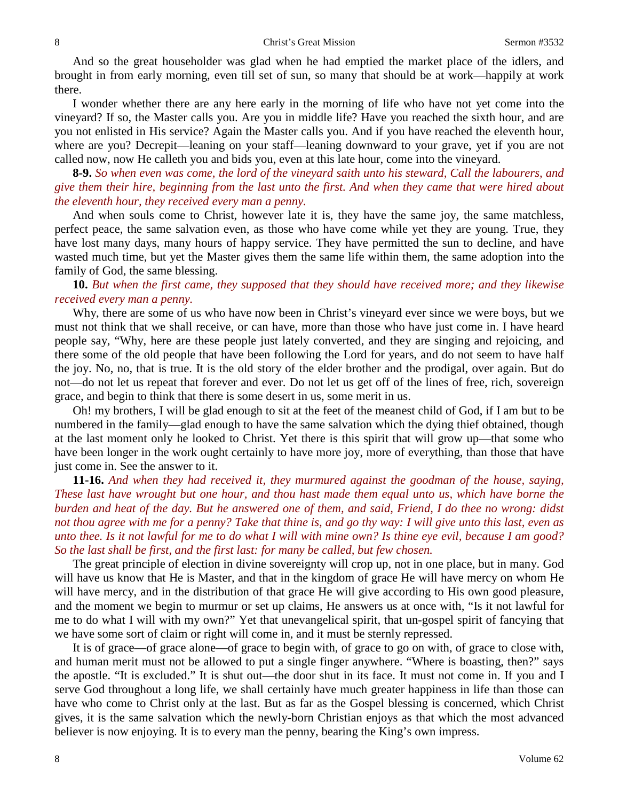And so the great householder was glad when he had emptied the market place of the idlers, and brought in from early morning, even till set of sun, so many that should be at work—happily at work there.

I wonder whether there are any here early in the morning of life who have not yet come into the vineyard? If so, the Master calls you. Are you in middle life? Have you reached the sixth hour, and are you not enlisted in His service? Again the Master calls you. And if you have reached the eleventh hour, where are you? Decrepit—leaning on your staff—leaning downward to your grave, yet if you are not called now, now He calleth you and bids you, even at this late hour, come into the vineyard.

**8-9.** *So when even was come, the lord of the vineyard saith unto his steward, Call the labourers, and give them their hire, beginning from the last unto the first. And when they came that were hired about the eleventh hour, they received every man a penny.* 

And when souls come to Christ, however late it is, they have the same joy, the same matchless, perfect peace, the same salvation even, as those who have come while yet they are young. True, they have lost many days, many hours of happy service. They have permitted the sun to decline, and have wasted much time, but yet the Master gives them the same life within them, the same adoption into the family of God, the same blessing.

**10.** *But when the first came, they supposed that they should have received more; and they likewise received every man a penny.* 

Why, there are some of us who have now been in Christ's vineyard ever since we were boys, but we must not think that we shall receive, or can have, more than those who have just come in. I have heard people say, "Why, here are these people just lately converted, and they are singing and rejoicing, and there some of the old people that have been following the Lord for years, and do not seem to have half the joy. No, no, that is true. It is the old story of the elder brother and the prodigal, over again. But do not—do not let us repeat that forever and ever. Do not let us get off of the lines of free, rich, sovereign grace, and begin to think that there is some desert in us, some merit in us.

Oh! my brothers, I will be glad enough to sit at the feet of the meanest child of God, if I am but to be numbered in the family—glad enough to have the same salvation which the dying thief obtained, though at the last moment only he looked to Christ. Yet there is this spirit that will grow up—that some who have been longer in the work ought certainly to have more joy, more of everything, than those that have just come in. See the answer to it.

**11-16.** *And when they had received it, they murmured against the goodman of the house, saying, These last have wrought but one hour, and thou hast made them equal unto us, which have borne the burden and heat of the day. But he answered one of them, and said, Friend, I do thee no wrong: didst not thou agree with me for a penny? Take that thine is, and go thy way: I will give unto this last, even as unto thee. Is it not lawful for me to do what I will with mine own? Is thine eye evil, because I am good? So the last shall be first, and the first last: for many be called, but few chosen.* 

The great principle of election in divine sovereignty will crop up, not in one place, but in many. God will have us know that He is Master, and that in the kingdom of grace He will have mercy on whom He will have mercy, and in the distribution of that grace He will give according to His own good pleasure, and the moment we begin to murmur or set up claims, He answers us at once with, "Is it not lawful for me to do what I will with my own?" Yet that unevangelical spirit, that un-gospel spirit of fancying that we have some sort of claim or right will come in, and it must be sternly repressed.

It is of grace—of grace alone—of grace to begin with, of grace to go on with, of grace to close with, and human merit must not be allowed to put a single finger anywhere. "Where is boasting, then?" says the apostle. "It is excluded." It is shut out—the door shut in its face. It must not come in. If you and I serve God throughout a long life, we shall certainly have much greater happiness in life than those can have who come to Christ only at the last. But as far as the Gospel blessing is concerned, which Christ gives, it is the same salvation which the newly-born Christian enjoys as that which the most advanced believer is now enjoying. It is to every man the penny, bearing the King's own impress.